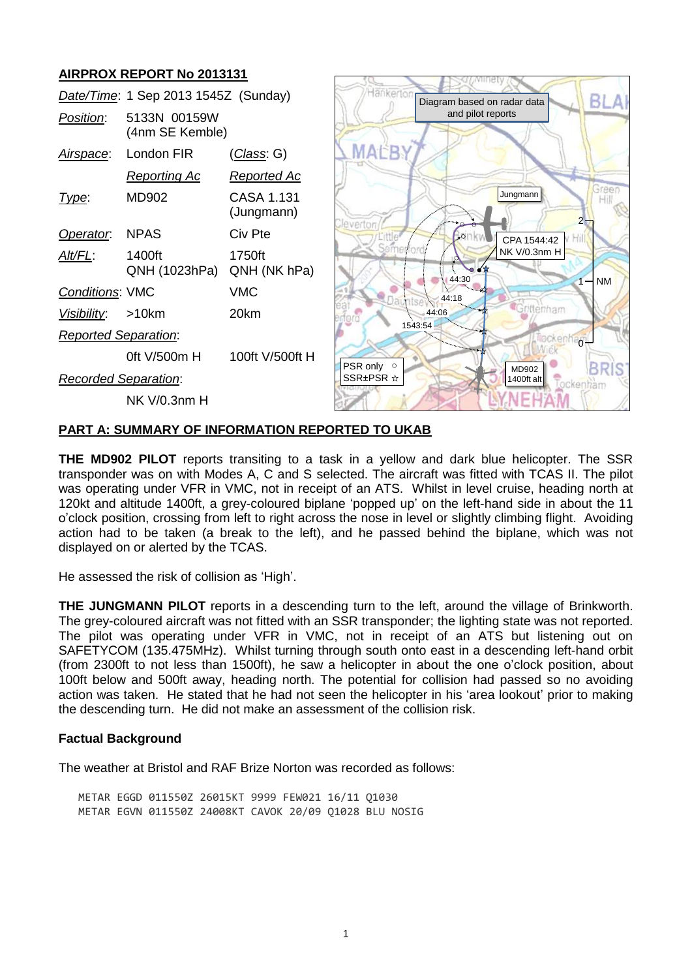# **AIRPROX REPORT No 2013131**



#### **PART A: SUMMARY OF INFORMATION REPORTED TO UKAB**

**THE MD902 PILOT** reports transiting to a task in a yellow and dark blue helicopter. The SSR transponder was on with Modes A, C and S selected. The aircraft was fitted with TCAS II. The pilot was operating under VFR in VMC, not in receipt of an ATS. Whilst in level cruise, heading north at 120kt and altitude 1400ft, a grey-coloured biplane 'popped up' on the left-hand side in about the 11 o'clock position, crossing from left to right across the nose in level or slightly climbing flight. Avoiding action had to be taken (a break to the left), and he passed behind the biplane, which was not displayed on or alerted by the TCAS.

He assessed the risk of collision as 'High'.

**THE JUNGMANN PILOT** reports in a descending turn to the left, around the village of Brinkworth. The grey-coloured aircraft was not fitted with an SSR transponder; the lighting state was not reported. The pilot was operating under VFR in VMC, not in receipt of an ATS but listening out on SAFETYCOM (135.475MHz). Whilst turning through south onto east in a descending left-hand orbit (from 2300ft to not less than 1500ft), he saw a helicopter in about the one o'clock position, about 100ft below and 500ft away, heading north. The potential for collision had passed so no avoiding action was taken. He stated that he had not seen the helicopter in his 'area lookout' prior to making the descending turn. He did not make an assessment of the collision risk.

#### **Factual Background**

The weather at Bristol and RAF Brize Norton was recorded as follows:

METAR EGGD 011550Z 26015KT 9999 FEW021 16/11 Q1030 METAR EGVN 011550Z 24008KT CAVOK 20/09 Q1028 BLU NOSIG